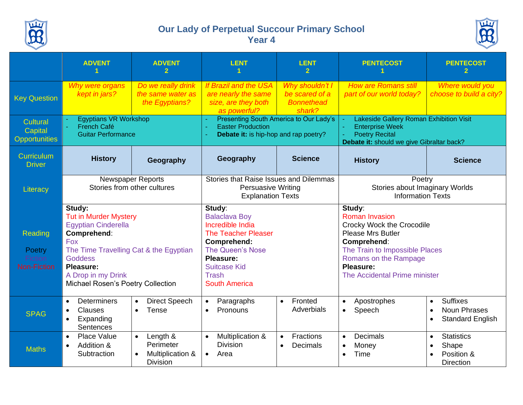

## **Our Lady of Perpetual Succour Primary School Year 4**



|                                                    | <b>ADVENT</b>                                                                                                                                                                                                                                | <b>ADVENT</b>                                                                          | <b>LENT</b>                                                                                                                                                                                                   | <b>LENT</b><br>$\mathbf{2}$                                      | <b>PENTECOST</b>                                                                                                                                                                                                        | <b>PENTECOST</b>                                                                                    |  |
|----------------------------------------------------|----------------------------------------------------------------------------------------------------------------------------------------------------------------------------------------------------------------------------------------------|----------------------------------------------------------------------------------------|---------------------------------------------------------------------------------------------------------------------------------------------------------------------------------------------------------------|------------------------------------------------------------------|-------------------------------------------------------------------------------------------------------------------------------------------------------------------------------------------------------------------------|-----------------------------------------------------------------------------------------------------|--|
| <b>Key Question</b>                                | Why were organs<br>kept in jars?                                                                                                                                                                                                             | Do we really drink<br>the same water as<br>the Egyptians?                              | <b>If Brazil and the USA</b><br>are nearly the same<br>size, are they both<br>as powerful?                                                                                                                    | Why shouldn't I<br>be scared of a<br><b>Bonnethead</b><br>shark? |                                                                                                                                                                                                                         | Where would you<br>choose to build a city?                                                          |  |
| Cultural<br>Capital<br><b>Opportunities</b>        | <b>Egyptians VR Workshop</b><br><b>French Café</b><br><b>Guitar Performance</b>                                                                                                                                                              |                                                                                        | Presenting South America to Our Lady's<br><b>Easter Production</b><br>÷,<br>Debate it: is hip-hop and rap poetry?                                                                                             |                                                                  | Lakeside Gallery Roman Exhibition Visit<br><b>Enterprise Week</b><br><b>Poetry Recital</b><br>Debate it: should we give Gibraltar back?                                                                                 |                                                                                                     |  |
| <b>Curriculum</b><br><b>Driver</b>                 | <b>History</b>                                                                                                                                                                                                                               | Geography                                                                              | Geography                                                                                                                                                                                                     | <b>Science</b>                                                   | <b>History</b>                                                                                                                                                                                                          | <b>Science</b>                                                                                      |  |
| Literacy                                           |                                                                                                                                                                                                                                              | <b>Newspaper Reports</b><br>Stories from other cultures                                | Stories that Raise Issues and Dilemmas<br><b>Persuasive Writing</b><br><b>Explanation Texts</b>                                                                                                               |                                                                  | Poetry<br>Stories about Imaginary Worlds<br><b>Information Texts</b>                                                                                                                                                    |                                                                                                     |  |
| Reading<br>Poetry<br>Fiction<br><b>Non-Fiction</b> | Study:<br><b>Tut in Murder Mystery</b><br><b>Egyptian Cinderella</b><br>Comprehend:<br><b>Fox</b><br>The Time Travelling Cat & the Egyptian<br><b>Goddess</b><br><b>Pleasure:</b><br>A Drop in my Drink<br>Michael Rosen's Poetry Collection |                                                                                        | Study:<br><b>Balaclava Boy</b><br>Incredible India<br><b>The Teacher Pleaser</b><br><b>Comprehend:</b><br><b>The Queen's Nose</b><br>Pleasure:<br><b>Suitcase Kid</b><br><b>Trash</b><br><b>South America</b> |                                                                  | Study:<br><b>Roman Invasion</b><br>Crocky Wock the Crocodile<br><b>Please Mrs Butler</b><br>Comprehend:<br>The Train to Impossible Places<br>Romans on the Rampage<br><b>Pleasure:</b><br>The Accidental Prime minister |                                                                                                     |  |
| <b>SPAG</b>                                        | <b>Determiners</b><br>$\bullet$<br>Clauses<br>Expanding<br><b>Sentences</b>                                                                                                                                                                  | <b>Direct Speech</b><br>$\bullet$<br>Tense                                             | Paragraphs<br>$\bullet$<br>Pronouns<br>$\bullet$                                                                                                                                                              | Fronted<br>$\bullet$<br>Adverbials                               | Apostrophes<br>$\bullet$<br>Speech                                                                                                                                                                                      | <b>Suffixes</b><br>$\bullet$<br><b>Noun Phrases</b><br><b>Standard English</b><br>$\bullet$         |  |
| <b>Maths</b>                                       | Place Value<br>$\bullet$<br>Addition &<br>Subtraction                                                                                                                                                                                        | Length &<br>$\bullet$<br>Perimeter<br>Multiplication &<br>$\bullet$<br><b>Division</b> | Multiplication &<br>$\bullet$<br><b>Division</b><br>Area<br>$\bullet$                                                                                                                                         | <b>Fractions</b><br>$\bullet$<br>Decimals<br>$\bullet$           | <b>Decimals</b><br>$\bullet$<br>Money<br>$\bullet$<br>Time<br>$\bullet$                                                                                                                                                 | <b>Statistics</b><br>$\bullet$<br>Shape<br>$\bullet$<br>Position &<br>$\bullet$<br><b>Direction</b> |  |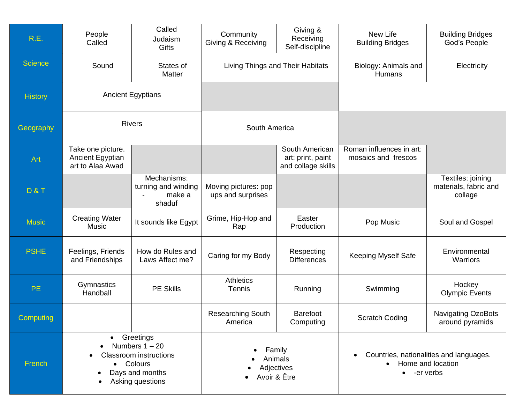| R.E.           | People<br>Called                                                                                                          | Called<br>Judaism<br>Gifts                             | Community<br>Giving & Receiving                 | Giving &<br>Receiving<br>Self-discipline                  | New Life<br><b>Building Bridges</b>                                                      | <b>Building Bridges</b><br>God's People               |  |
|----------------|---------------------------------------------------------------------------------------------------------------------------|--------------------------------------------------------|-------------------------------------------------|-----------------------------------------------------------|------------------------------------------------------------------------------------------|-------------------------------------------------------|--|
| <b>Science</b> | Sound<br>States of<br>Matter                                                                                              |                                                        | Living Things and Their Habitats                |                                                           | Biology: Animals and<br>Humans                                                           | Electricity                                           |  |
| <b>History</b> | <b>Ancient Egyptians</b>                                                                                                  |                                                        |                                                 |                                                           |                                                                                          |                                                       |  |
| Geography      | <b>Rivers</b>                                                                                                             |                                                        | South America                                   |                                                           |                                                                                          |                                                       |  |
| Art            | Take one picture.<br>Ancient Egyptian<br>art to Alaa Awad                                                                 |                                                        |                                                 | South American<br>art: print, paint<br>and collage skills | Roman influences in art:<br>mosaics and frescos                                          |                                                       |  |
| <b>D&amp;T</b> |                                                                                                                           | Mechanisms:<br>turning and winding<br>make a<br>shaduf | Moving pictures: pop<br>ups and surprises       |                                                           |                                                                                          | Textiles: joining<br>materials, fabric and<br>collage |  |
| <b>Music</b>   | <b>Creating Water</b><br><b>Music</b>                                                                                     | It sounds like Egypt                                   | Grime, Hip-Hop and<br>Rap                       | Easter<br>Production                                      | Pop Music                                                                                | Soul and Gospel                                       |  |
| <b>PSHE</b>    | Feelings, Friends<br>and Friendships                                                                                      | How do Rules and<br>Laws Affect me?                    | Caring for my Body                              | Respecting<br><b>Differences</b>                          | <b>Keeping Myself Safe</b>                                                               | Environmental<br>Warriors                             |  |
| PE.            | Gymnastics<br>Handball                                                                                                    | <b>PE Skills</b>                                       | <b>Athletics</b><br><b>Tennis</b>               | Running<br>Swimming                                       |                                                                                          | Hockey<br><b>Olympic Events</b>                       |  |
| Computing      |                                                                                                                           |                                                        | <b>Researching South</b><br>America             | <b>Barefoot</b><br>Computing                              | <b>Scratch Coding</b>                                                                    | Navigating OzoBots<br>around pyramids                 |  |
| French         | • Greetings<br>Numbers $1 - 20$<br><b>Classroom</b> instructions<br>• Colours<br>Days and months<br>٠<br>Asking questions |                                                        | Family<br>Animals<br>Adjectives<br>Avoir & Être |                                                           | Countries, nationalities and languages.<br>• Home and location<br>-er verbs<br>$\bullet$ |                                                       |  |